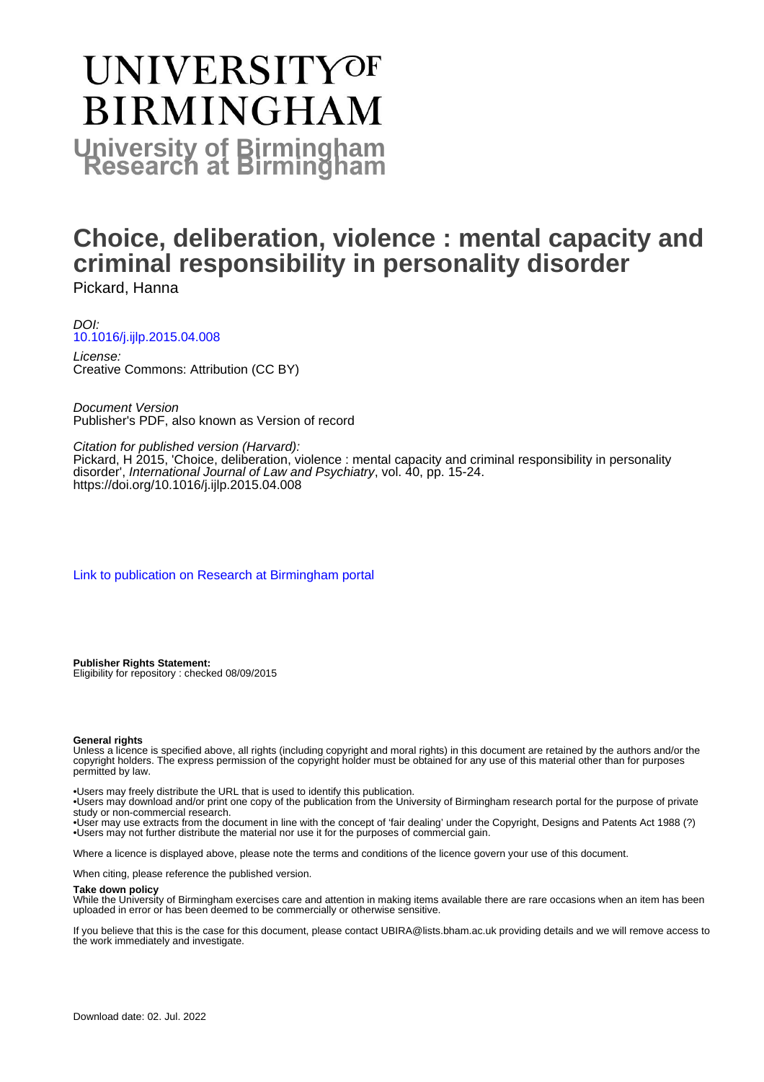# **UNIVERSITYOF BIRMINGHAM University of Birmingham**

### **Choice, deliberation, violence : mental capacity and criminal responsibility in personality disorder** Pickard, Hanna

DOI: [10.1016/j.ijlp.2015.04.008](https://doi.org/10.1016/j.ijlp.2015.04.008)

License: Creative Commons: Attribution (CC BY)

Document Version Publisher's PDF, also known as Version of record

Citation for published version (Harvard):

Pickard, H 2015, 'Choice, deliberation, violence : mental capacity and criminal responsibility in personality disorder', International Journal of Law and Psychiatry, vol. 40, pp. 15-24. <https://doi.org/10.1016/j.ijlp.2015.04.008>

[Link to publication on Research at Birmingham portal](https://birmingham.elsevierpure.com/en/publications/8b92c87c-64f0-4878-9b1d-687d0be45e87)

**Publisher Rights Statement:** Eligibility for repository : checked 08/09/2015

#### **General rights**

Unless a licence is specified above, all rights (including copyright and moral rights) in this document are retained by the authors and/or the copyright holders. The express permission of the copyright holder must be obtained for any use of this material other than for purposes permitted by law.

• Users may freely distribute the URL that is used to identify this publication.

• Users may download and/or print one copy of the publication from the University of Birmingham research portal for the purpose of private study or non-commercial research.

• User may use extracts from the document in line with the concept of 'fair dealing' under the Copyright, Designs and Patents Act 1988 (?) • Users may not further distribute the material nor use it for the purposes of commercial gain.

Where a licence is displayed above, please note the terms and conditions of the licence govern your use of this document.

When citing, please reference the published version.

#### **Take down policy**

While the University of Birmingham exercises care and attention in making items available there are rare occasions when an item has been uploaded in error or has been deemed to be commercially or otherwise sensitive.

If you believe that this is the case for this document, please contact UBIRA@lists.bham.ac.uk providing details and we will remove access to the work immediately and investigate.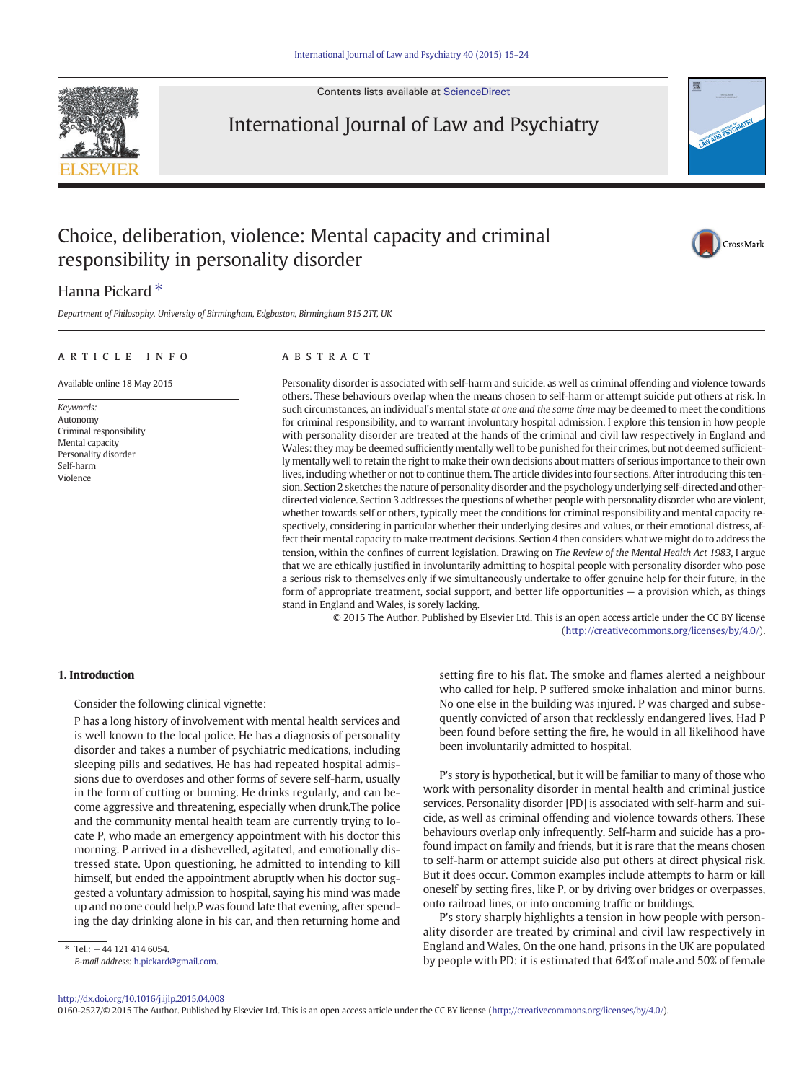Contents lists available at [ScienceDirect](http://www.sciencedirect.com/science/journal/01602527)



International Journal of Law and Psychiatry



### Choice, deliberation, violence: Mental capacity and criminal responsibility in personality disorder

## CrossMark

### Hanna Pickard<sup>\*</sup>

Department of Philosophy, University of Birmingham, Edgbaston, Birmingham B15 2TT, UK

#### article info abstract

Available online 18 May 2015

Keywords: Autonomy Criminal responsibility Mental capacity Personality disorder Self-harm Violence

others. These behaviours overlap when the means chosen to self-harm or attempt suicide put others at risk. In such circumstances, an individual's mental state at one and the same time may be deemed to meet the conditions for criminal responsibility, and to warrant involuntary hospital admission. I explore this tension in how people with personality disorder are treated at the hands of the criminal and civil law respectively in England and Wales: they may be deemed sufficiently mentally well to be punished for their crimes, but not deemed sufficiently mentally well to retain the right to make their own decisions about matters of serious importance to their own lives, including whether or not to continue them. The article divides into four sections. After introducing this tension, Section 2 sketches the nature of personality disorder and the psychology underlying self-directed and otherdirected violence. Section 3 addresses the questions of whether people with personality disorder who are violent, whether towards self or others, typically meet the conditions for criminal responsibility and mental capacity respectively, considering in particular whether their underlying desires and values, or their emotional distress, affect their mental capacity to make treatment decisions. Section 4 then considers what we might do to address the tension, within the confines of current legislation. Drawing on The Review of the Mental Health Act 1983, I argue that we are ethically justified in involuntarily admitting to hospital people with personality disorder who pose a serious risk to themselves only if we simultaneously undertake to offer genuine help for their future, in the form of appropriate treatment, social support, and better life opportunities — a provision which, as things stand in England and Wales, is sorely lacking.

Personality disorder is associated with self-harm and suicide, as well as criminal offending and violence towards

© 2015 The Author. Published by Elsevier Ltd. This is an open access article under the CC BY license [\(http://creativecommons.org/licenses/by/4.0/\)](http://creativecommons.org/licenses/by/4.0/).

#### 1. Introduction

Consider the following clinical vignette:

P has a long history of involvement with mental health services and is well known to the local police. He has a diagnosis of personality disorder and takes a number of psychiatric medications, including sleeping pills and sedatives. He has had repeated hospital admissions due to overdoses and other forms of severe self-harm, usually in the form of cutting or burning. He drinks regularly, and can become aggressive and threatening, especially when drunk.The police and the community mental health team are currently trying to locate P, who made an emergency appointment with his doctor this morning. P arrived in a dishevelled, agitated, and emotionally distressed state. Upon questioning, he admitted to intending to kill himself, but ended the appointment abruptly when his doctor suggested a voluntary admission to hospital, saying his mind was made up and no one could help.P was found late that evening, after spending the day drinking alone in his car, and then returning home and

⁎ Tel.: +44 121 414 6054. E-mail address: [h.pickard@gmail.com.](mailto:h.pickard@gmail.com) setting fire to his flat. The smoke and flames alerted a neighbour who called for help. P suffered smoke inhalation and minor burns. No one else in the building was injured. P was charged and subsequently convicted of arson that recklessly endangered lives. Had P been found before setting the fire, he would in all likelihood have been involuntarily admitted to hospital.

P's story is hypothetical, but it will be familiar to many of those who work with personality disorder in mental health and criminal justice services. Personality disorder [PD] is associated with self-harm and suicide, as well as criminal offending and violence towards others. These behaviours overlap only infrequently. Self-harm and suicide has a profound impact on family and friends, but it is rare that the means chosen to self-harm or attempt suicide also put others at direct physical risk. But it does occur. Common examples include attempts to harm or kill oneself by setting fires, like P, or by driving over bridges or overpasses, onto railroad lines, or into oncoming traffic or buildings.

P's story sharply highlights a tension in how people with personality disorder are treated by criminal and civil law respectively in England and Wales. On the one hand, prisons in the UK are populated by people with PD: it is estimated that 64% of male and 50% of female

#### <http://dx.doi.org/10.1016/j.ijlp.2015.04.008>

0160-2527/© 2015 The Author. Published by Elsevier Ltd. This is an open access article under the CC BY license [\(http://creativecommons.org/licenses/by/4.0/\)](http://creativecommons.org/licenses/by/4.0/).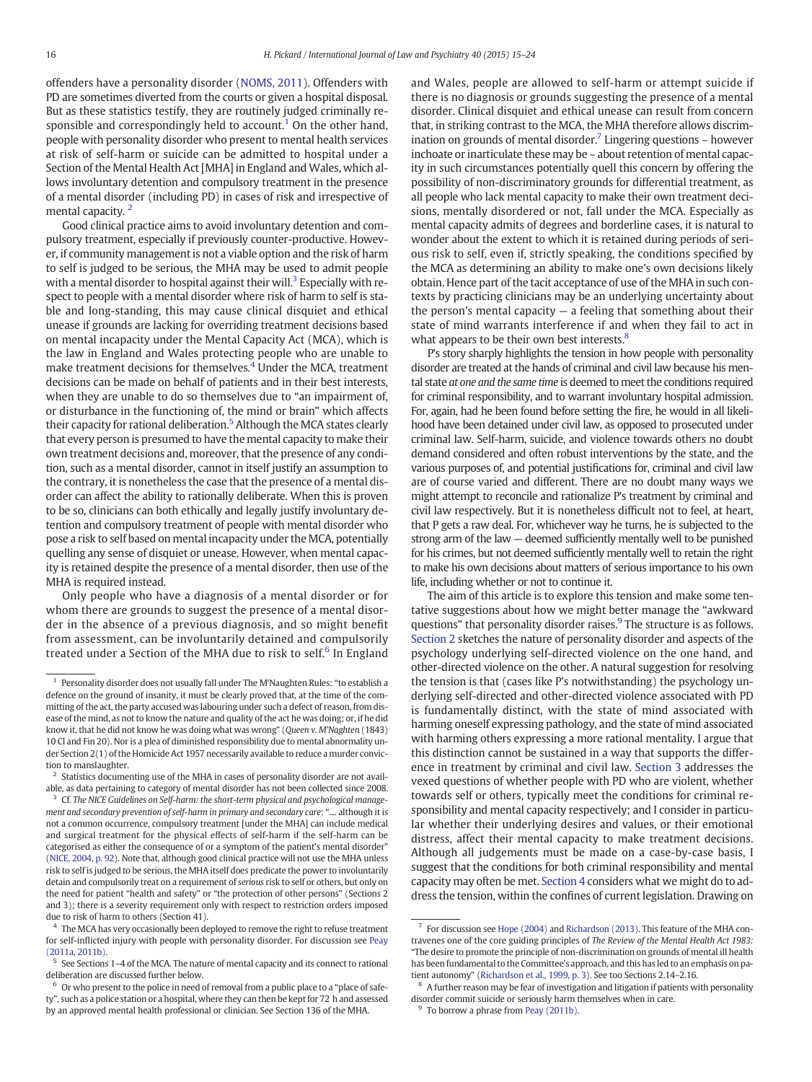offenders have a personality disorder ([NOMS, 2011](#page-10-0)). Offenders with PD are sometimes diverted from the courts or given a hospital disposal. But as these statistics testify, they are routinely judged criminally responsible and correspondingly held to account.<sup>1</sup> On the other hand, people with personality disorder who present to mental health services at risk of self-harm or suicide can be admitted to hospital under a Section of the Mental Health Act [MHA] in England and Wales, which allows involuntary detention and compulsory treatment in the presence of a mental disorder (including PD) in cases of risk and irrespective of mental capacity.<sup>2</sup>

Good clinical practice aims to avoid involuntary detention and compulsory treatment, especially if previously counter-productive. However, if community management is not a viable option and the risk of harm to self is judged to be serious, the MHA may be used to admit people with a mental disorder to hospital against their will.<sup>3</sup> Especially with respect to people with a mental disorder where risk of harm to self is stable and long-standing, this may cause clinical disquiet and ethical unease if grounds are lacking for overriding treatment decisions based on mental incapacity under the Mental Capacity Act (MCA), which is the law in England and Wales protecting people who are unable to make treatment decisions for themselves.<sup>4</sup> Under the MCA, treatment decisions can be made on behalf of patients and in their best interests, when they are unable to do so themselves due to "an impairment of, or disturbance in the functioning of, the mind or brain" which affects their capacity for rational deliberation.5 Although the MCA states clearly that every person is presumed to have the mental capacity to make their own treatment decisions and, moreover, that the presence of any condition, such as a mental disorder, cannot in itself justify an assumption to the contrary, it is nonetheless the case that the presence of a mental disorder can affect the ability to rationally deliberate. When this is proven to be so, clinicians can both ethically and legally justify involuntary detention and compulsory treatment of people with mental disorder who pose a risk to self based on mental incapacity under the MCA, potentially quelling any sense of disquiet or unease. However, when mental capacity is retained despite the presence of a mental disorder, then use of the MHA is required instead.

Only people who have a diagnosis of a mental disorder or for whom there are grounds to suggest the presence of a mental disorder in the absence of a previous diagnosis, and so might benefit from assessment, can be involuntarily detained and compulsorily treated under a Section of the MHA due to risk to self. $6$  In England and Wales, people are allowed to self-harm or attempt suicide if there is no diagnosis or grounds suggesting the presence of a mental disorder. Clinical disquiet and ethical unease can result from concern that, in striking contrast to the MCA, the MHA therefore allows discrimination on grounds of mental disorder.<sup>7</sup> Lingering questions  $-$  however inchoate or inarticulate these may be – about retention of mental capacity in such circumstances potentially quell this concern by offering the possibility of non-discriminatory grounds for differential treatment, as all people who lack mental capacity to make their own treatment decisions, mentally disordered or not, fall under the MCA. Especially as mental capacity admits of degrees and borderline cases, it is natural to wonder about the extent to which it is retained during periods of serious risk to self, even if, strictly speaking, the conditions specified by the MCA as determining an ability to make one's own decisions likely obtain. Hence part of the tacit acceptance of use of the MHA in such contexts by practicing clinicians may be an underlying uncertainty about the person's mental capacity  $-$  a feeling that something about their state of mind warrants interference if and when they fail to act in what appears to be their own best interests.<sup>8</sup>

P's story sharply highlights the tension in how people with personality disorder are treated at the hands of criminal and civil law because his mental state at one and the same time is deemed to meet the conditions required for criminal responsibility, and to warrant involuntary hospital admission. For, again, had he been found before setting the fire, he would in all likelihood have been detained under civil law, as opposed to prosecuted under criminal law. Self-harm, suicide, and violence towards others no doubt demand considered and often robust interventions by the state, and the various purposes of, and potential justifications for, criminal and civil law are of course varied and different. There are no doubt many ways we might attempt to reconcile and rationalize P's treatment by criminal and civil law respectively. But it is nonetheless difficult not to feel, at heart, that P gets a raw deal. For, whichever way he turns, he is subjected to the strong arm of the law — deemed sufficiently mentally well to be punished for his crimes, but not deemed sufficiently mentally well to retain the right to make his own decisions about matters of serious importance to his own life, including whether or not to continue it.

The aim of this article is to explore this tension and make some tentative suggestions about how we might better manage the "awkward questions" that personality disorder raises.<sup>9</sup> The structure is as follows. [Section 2](#page-3-0) sketches the nature of personality disorder and aspects of the psychology underlying self-directed violence on the one hand, and other-directed violence on the other. A natural suggestion for resolving the tension is that (cases like P's notwithstanding) the psychology underlying self-directed and other-directed violence associated with PD is fundamentally distinct, with the state of mind associated with harming oneself expressing pathology, and the state of mind associated with harming others expressing a more rational mentality. I argue that this distinction cannot be sustained in a way that supports the difference in treatment by criminal and civil law. [Section 3](#page-6-0) addresses the vexed questions of whether people with PD who are violent, whether towards self or others, typically meet the conditions for criminal responsibility and mental capacity respectively; and I consider in particular whether their underlying desires and values, or their emotional distress, affect their mental capacity to make treatment decisions. Although all judgements must be made on a case-by-case basis, I suggest that the conditions for both criminal responsibility and mental capacity may often be met. [Section 4](#page-8-0) considers what we might do to address the tension, within the confines of current legislation. Drawing on

 $1$  Personality disorder does not usually fall under The M'Naughten Rules: "to establish a defence on the ground of insanity, it must be clearly proved that, at the time of the committing of the act, the party accused was labouring under such a defect of reason, from disease of the mind, as not to know the nature and quality of the act he was doing; or, if he did know it, that he did not know he was doing what was wrong" (Queen v. M'Naghten (1843) 10 Cl and Fin 20). Nor is a plea of diminished responsibility due to mental abnormality under Section 2(1) of the Homicide Act 1957 necessarily available to reduce a murder conviction to manslaughter.

<sup>&</sup>lt;sup>2</sup> Statistics documenting use of the MHA in cases of personality disorder are not available, as data pertaining to category of mental disorder has not been collected since 2008.

<sup>&</sup>lt;sup>3</sup> Cf. The NICE Guidelines on Self-harm: the short-term physical and psychological management and secondary prevention of self-harm in primary and secondary care: ".... although it is not a common occurrence, compulsory treatment [under the MHA] can include medical and surgical treatment for the physical effects of self-harm if the self-harm can be categorised as either the consequence of or a symptom of the patient's mental disorder" ([NICE, 2004, p. 92\)](#page-10-0). Note that, although good clinical practice will not use the MHA unless risk to self is judged to be serious, the MHA itself does predicate the power to involuntarily detain and compulsorily treat on a requirement of serious risk to self or others, but only on the need for patient "health and safety" or "the protection of other persons" (Sections 2 and 3); there is a severity requirement only with respect to restriction orders imposed due to risk of harm to others (Section 41).

<sup>4</sup> The MCA has very occasionally been deployed to remove the right to refuse treatment for self-inflicted injury with people with personality disorder. For discussion see [Peay](#page-10-0) [\(2011a, 2011b\)](#page-10-0).

<sup>5</sup> See Sections 1–4 of the MCA. The nature of mental capacity and its connect to rational deliberation are discussed further below.

 $6$  Or who present to the police in need of removal from a public place to a "place of safety", such as a police station or a hospital, where they can then be kept for 72 h and assessed by an approved mental health professional or clinician. See Section 136 of the MHA.

 $^7\,$  For discussion see [Hope \(2004\)](#page-9-0) and [Richardson \(2013\)](#page-10-0). This feature of the MHA contravenes one of the core guiding principles of The Review of the Mental Health Act 1983: "The desire to promote the principle of non-discrimination on grounds of mental ill health has been fundamental to the Committee's approach, and this has led to an emphasis on patient autonomy" ([Richardson et al., 1999, p. 3](#page-10-0)). See too Sections 2.14–2.16.

<sup>&</sup>lt;sup>8</sup> A further reason may be fear of investigation and litigation if patients with personality disorder commit suicide or seriously harm themselves when in care. To borrow a phrase from [Peay \(2011b\).](#page-10-0)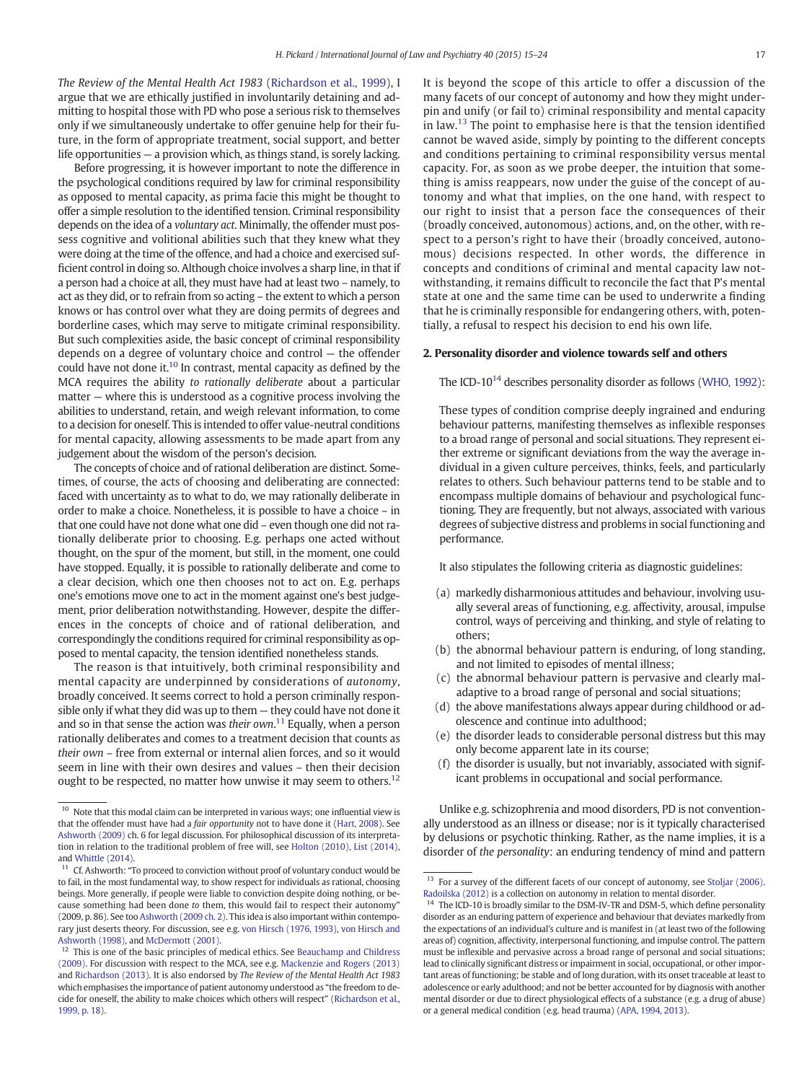<span id="page-3-0"></span>The Review of the Mental Health Act 1983 ([Richardson et al., 1999](#page-10-0)), I argue that we are ethically justified in involuntarily detaining and admitting to hospital those with PD who pose a serious risk to themselves only if we simultaneously undertake to offer genuine help for their future, in the form of appropriate treatment, social support, and better life opportunities — a provision which, as things stand, is sorely lacking.

Before progressing, it is however important to note the difference in the psychological conditions required by law for criminal responsibility as opposed to mental capacity, as prima facie this might be thought to offer a simple resolution to the identified tension. Criminal responsibility depends on the idea of a voluntary act. Minimally, the offender must possess cognitive and volitional abilities such that they knew what they were doing at the time of the offence, and had a choice and exercised sufficient control in doing so. Although choice involves a sharp line, in that if a person had a choice at all, they must have had at least two – namely, to act as they did, or to refrain from so acting – the extent to which a person knows or has control over what they are doing permits of degrees and borderline cases, which may serve to mitigate criminal responsibility. But such complexities aside, the basic concept of criminal responsibility depends on a degree of voluntary choice and control — the offender could have not done it.10 In contrast, mental capacity as defined by the MCA requires the ability to rationally deliberate about a particular matter — where this is understood as a cognitive process involving the abilities to understand, retain, and weigh relevant information, to come to a decision for oneself. This is intended to offer value-neutral conditions for mental capacity, allowing assessments to be made apart from any judgement about the wisdom of the person's decision.

The concepts of choice and of rational deliberation are distinct. Sometimes, of course, the acts of choosing and deliberating are connected: faced with uncertainty as to what to do, we may rationally deliberate in order to make a choice. Nonetheless, it is possible to have a choice – in that one could have not done what one did – even though one did not rationally deliberate prior to choosing. E.g. perhaps one acted without thought, on the spur of the moment, but still, in the moment, one could have stopped. Equally, it is possible to rationally deliberate and come to a clear decision, which one then chooses not to act on. E.g. perhaps one's emotions move one to act in the moment against one's best judgement, prior deliberation notwithstanding. However, despite the differences in the concepts of choice and of rational deliberation, and correspondingly the conditions required for criminal responsibility as opposed to mental capacity, the tension identified nonetheless stands.

The reason is that intuitively, both criminal responsibility and mental capacity are underpinned by considerations of autonomy, broadly conceived. It seems correct to hold a person criminally responsible only if what they did was up to them — they could have not done it and so in that sense the action was their own. $^{11}$  Equally, when a person rationally deliberates and comes to a treatment decision that counts as their own – free from external or internal alien forces, and so it would seem in line with their own desires and values – then their decision ought to be respected, no matter how unwise it may seem to others.<sup>12</sup> It is beyond the scope of this article to offer a discussion of the many facets of our concept of autonomy and how they might underpin and unify (or fail to) criminal responsibility and mental capacity in law.<sup>13</sup> The point to emphasise here is that the tension identified cannot be waved aside, simply by pointing to the different concepts and conditions pertaining to criminal responsibility versus mental capacity. For, as soon as we probe deeper, the intuition that something is amiss reappears, now under the guise of the concept of autonomy and what that implies, on the one hand, with respect to our right to insist that a person face the consequences of their (broadly conceived, autonomous) actions, and, on the other, with respect to a person's right to have their (broadly conceived, autonomous) decisions respected. In other words, the difference in concepts and conditions of criminal and mental capacity law notwithstanding, it remains difficult to reconcile the fact that P's mental state at one and the same time can be used to underwrite a finding that he is criminally responsible for endangering others, with, potentially, a refusal to respect his decision to end his own life.

#### 2. Personality disorder and violence towards self and others

The ICD-10<sup>14</sup> describes personality disorder as follows [\(WHO, 1992\)](#page-10-0):

These types of condition comprise deeply ingrained and enduring behaviour patterns, manifesting themselves as inflexible responses to a broad range of personal and social situations. They represent either extreme or significant deviations from the way the average individual in a given culture perceives, thinks, feels, and particularly relates to others. Such behaviour patterns tend to be stable and to encompass multiple domains of behaviour and psychological functioning. They are frequently, but not always, associated with various degrees of subjective distress and problems in social functioning and performance.

It also stipulates the following criteria as diagnostic guidelines:

- (a) markedly disharmonious attitudes and behaviour, involving usually several areas of functioning, e.g. affectivity, arousal, impulse control, ways of perceiving and thinking, and style of relating to others;
- (b) the abnormal behaviour pattern is enduring, of long standing, and not limited to episodes of mental illness;
- (c) the abnormal behaviour pattern is pervasive and clearly maladaptive to a broad range of personal and social situations;
- (d) the above manifestations always appear during childhood or adolescence and continue into adulthood;
- (e) the disorder leads to considerable personal distress but this may only become apparent late in its course;
- (f) the disorder is usually, but not invariably, associated with significant problems in occupational and social performance.

Unlike e.g. schizophrenia and mood disorders, PD is not conventionally understood as an illness or disease; nor is it typically characterised by delusions or psychotic thinking. Rather, as the name implies, it is a disorder of the personality: an enduring tendency of mind and pattern

 $10$  Note that this modal claim can be interpreted in various ways; one influential view is that the offender must have had a fair opportunity not to have done it [\(Hart, 2008\)](#page-9-0). See [Ashworth \(2009\)](#page-9-0) ch. 6 for legal discussion. For philosophical discussion of its interpretation in relation to the traditional problem of free will, see [Holton \(2010\)](#page-9-0), [List \(2014\)](#page-10-0), and [Whittle \(2014\).](#page-10-0)

<sup>&</sup>lt;sup>11</sup> Cf. Ashworth: "To proceed to conviction without proof of voluntary conduct would be to fail, in the most fundamental way, to show respect for individuals as rational, choosing beings. More generally, if people were liable to conviction despite doing nothing, or because something had been done to them, this would fail to respect their autonomy" (2009, p. 86). See too [Ashworth \(2009 ch. 2\).](#page-9-0) This idea is also important within contemporary just deserts theory. For discussion, see e.g. [von Hirsch \(1976, 1993\)](#page-10-0), [von Hirsch and](#page-10-0) [Ashworth \(1998\),](#page-10-0) and [McDermott \(2001\)](#page-10-0).

This is one of the basic principles of medical ethics. See [Beauchamp and Childress](#page-9-0) [\(2009\).](#page-9-0) For discussion with respect to the MCA, see e.g. [Mackenzie and Rogers \(2013\)](#page-10-0) and [Richardson \(2013\).](#page-10-0) It is also endorsed by The Review of the Mental Health Act 1983 which emphasises the importance of patient autonomy understood as "the freedom to decide for oneself, the ability to make choices which others will respect" [\(Richardson et al.,](#page-10-0) [1999, p. 18\)](#page-10-0).

<sup>&</sup>lt;sup>13</sup> For a survey of the different facets of our concept of autonomy, see [Stoljar \(2006\)](#page-10-0). [Radoilska \(2012\)](#page-10-0) is a collection on autonomy in relation to mental disorder.

<sup>&</sup>lt;sup>14</sup> The ICD-10 is broadly similar to the DSM-IV-TR and DSM-5, which define personality disorder as an enduring pattern of experience and behaviour that deviates markedly from the expectations of an individual's culture and is manifest in (at least two of the following areas of) cognition, affectivity, interpersonal functioning, and impulse control. The pattern must be inflexible and pervasive across a broad range of personal and social situations; lead to clinically significant distress or impairment in social, occupational, or other important areas of functioning; be stable and of long duration, with its onset traceable at least to adolescence or early adulthood; and not be better accounted for by diagnosis with another mental disorder or due to direct physiological effects of a substance (e.g. a drug of abuse) or a general medical condition (e.g. head trauma) [\(APA, 1994, 2013\)](#page-9-0).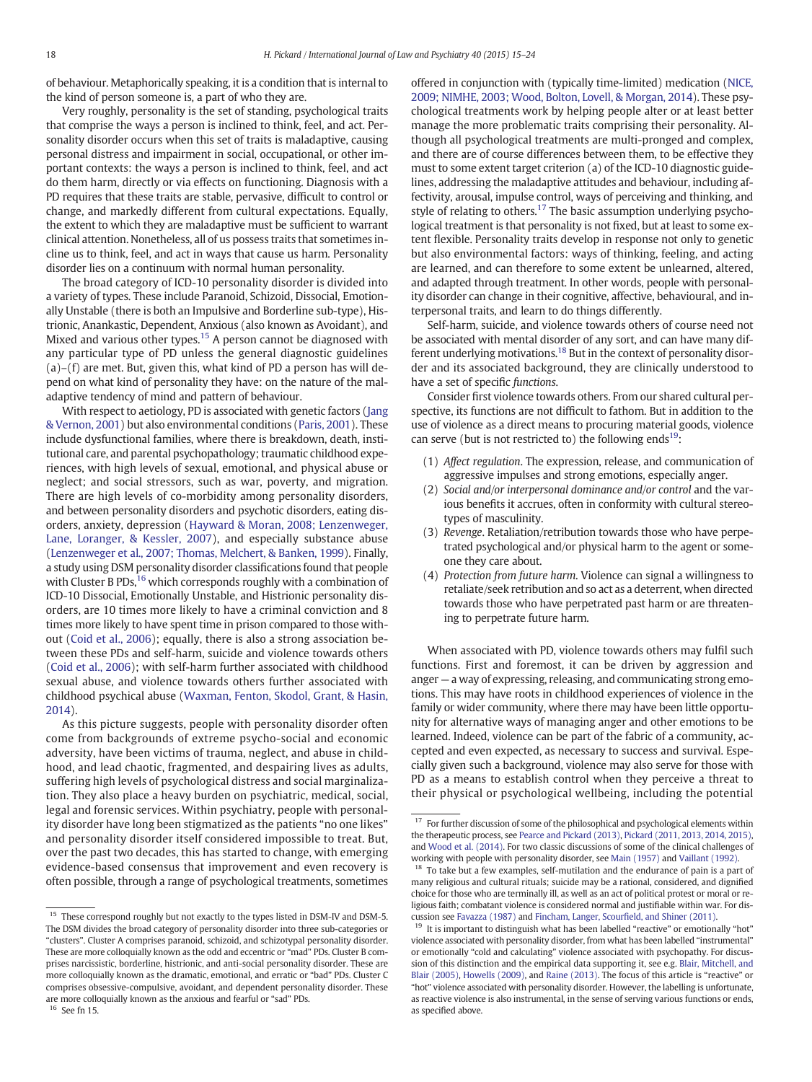of behaviour. Metaphorically speaking, it is a condition that is internal to the kind of person someone is, a part of who they are.

Very roughly, personality is the set of standing, psychological traits that comprise the ways a person is inclined to think, feel, and act. Personality disorder occurs when this set of traits is maladaptive, causing personal distress and impairment in social, occupational, or other important contexts: the ways a person is inclined to think, feel, and act do them harm, directly or via effects on functioning. Diagnosis with a PD requires that these traits are stable, pervasive, difficult to control or change, and markedly different from cultural expectations. Equally, the extent to which they are maladaptive must be sufficient to warrant clinical attention. Nonetheless, all of us possess traits that sometimes incline us to think, feel, and act in ways that cause us harm. Personality disorder lies on a continuum with normal human personality.

The broad category of ICD-10 personality disorder is divided into a variety of types. These include Paranoid, Schizoid, Dissocial, Emotionally Unstable (there is both an Impulsive and Borderline sub-type), Histrionic, Anankastic, Dependent, Anxious (also known as Avoidant), and Mixed and various other types.<sup>15</sup> A person cannot be diagnosed with any particular type of PD unless the general diagnostic guidelines (a)–(f) are met. But, given this, what kind of PD a person has will depend on what kind of personality they have: on the nature of the maladaptive tendency of mind and pattern of behaviour.

With respect to aetiology, PD is associated with genetic factors [\(Jang](#page-9-0) [& Vernon, 2001](#page-9-0)) but also environmental conditions [\(Paris, 2001](#page-10-0)). These include dysfunctional families, where there is breakdown, death, institutional care, and parental psychopathology; traumatic childhood experiences, with high levels of sexual, emotional, and physical abuse or neglect; and social stressors, such as war, poverty, and migration. There are high levels of co-morbidity among personality disorders, and between personality disorders and psychotic disorders, eating disorders, anxiety, depression ([Hayward & Moran, 2008; Lenzenweger,](#page-9-0) [Lane, Loranger, & Kessler, 2007\)](#page-9-0), and especially substance abuse [\(Lenzenweger et al., 2007; Thomas, Melchert, & Banken, 1999](#page-10-0)). Finally, a study using DSM personality disorder classifications found that people with Cluster B PDs,<sup>16</sup> which corresponds roughly with a combination of ICD-10 Dissocial, Emotionally Unstable, and Histrionic personality disorders, are 10 times more likely to have a criminal conviction and 8 times more likely to have spent time in prison compared to those without ([Coid et al., 2006](#page-9-0)); equally, there is also a strong association between these PDs and self-harm, suicide and violence towards others [\(Coid et al., 2006\)](#page-9-0); with self-harm further associated with childhood sexual abuse, and violence towards others further associated with childhood psychical abuse [\(Waxman, Fenton, Skodol, Grant, & Hasin,](#page-10-0)  $2014$ 

As this picture suggests, people with personality disorder often come from backgrounds of extreme psycho-social and economic adversity, have been victims of trauma, neglect, and abuse in childhood, and lead chaotic, fragmented, and despairing lives as adults, suffering high levels of psychological distress and social marginalization. They also place a heavy burden on psychiatric, medical, social, legal and forensic services. Within psychiatry, people with personality disorder have long been stigmatized as the patients "no one likes" and personality disorder itself considered impossible to treat. But, over the past two decades, this has started to change, with emerging evidence-based consensus that improvement and even recovery is often possible, through a range of psychological treatments, sometimes offered in conjunction with (typically time-limited) medication ([NICE,](#page-10-0) [2009; NIMHE, 2003; Wood, Bolton, Lovell, & Morgan, 2014](#page-10-0)). These psychological treatments work by helping people alter or at least better manage the more problematic traits comprising their personality. Although all psychological treatments are multi-pronged and complex, and there are of course differences between them, to be effective they must to some extent target criterion (a) of the ICD-10 diagnostic guidelines, addressing the maladaptive attitudes and behaviour, including affectivity, arousal, impulse control, ways of perceiving and thinking, and style of relating to others.<sup>17</sup> The basic assumption underlying psychological treatment is that personality is not fixed, but at least to some extent flexible. Personality traits develop in response not only to genetic but also environmental factors: ways of thinking, feeling, and acting are learned, and can therefore to some extent be unlearned, altered, and adapted through treatment. In other words, people with personality disorder can change in their cognitive, affective, behavioural, and interpersonal traits, and learn to do things differently.

Self-harm, suicide, and violence towards others of course need not be associated with mental disorder of any sort, and can have many different underlying motivations.<sup>18</sup> But in the context of personality disorder and its associated background, they are clinically understood to have a set of specific functions.

Consider first violence towards others. From our shared cultural perspective, its functions are not difficult to fathom. But in addition to the use of violence as a direct means to procuring material goods, violence can serve (but is not restricted to) the following ends<sup>19</sup>:

- (1) Affect regulation. The expression, release, and communication of aggressive impulses and strong emotions, especially anger.
- Social and/or interpersonal dominance and/or control and the various benefits it accrues, often in conformity with cultural stereotypes of masculinity.
- (3) Revenge. Retaliation/retribution towards those who have perpetrated psychological and/or physical harm to the agent or someone they care about.
- (4) Protection from future harm. Violence can signal a willingness to retaliate/seek retribution and so act as a deterrent, when directed towards those who have perpetrated past harm or are threatening to perpetrate future harm.

When associated with PD, violence towards others may fulfil such functions. First and foremost, it can be driven by aggression and anger — a way of expressing, releasing, and communicating strong emotions. This may have roots in childhood experiences of violence in the family or wider community, where there may have been little opportunity for alternative ways of managing anger and other emotions to be learned. Indeed, violence can be part of the fabric of a community, accepted and even expected, as necessary to success and survival. Especially given such a background, violence may also serve for those with PD as a means to establish control when they perceive a threat to their physical or psychological wellbeing, including the potential

<sup>&</sup>lt;sup>15</sup> These correspond roughly but not exactly to the types listed in DSM-IV and DSM-5. The DSM divides the broad category of personality disorder into three sub-categories or "clusters". Cluster A comprises paranoid, schizoid, and schizotypal personality disorder. These are more colloquially known as the odd and eccentric or "mad" PDs. Cluster B comprises narcissistic, borderline, histrionic, and anti-social personality disorder. These are more colloquially known as the dramatic, emotional, and erratic or "bad" PDs. Cluster C comprises obsessive-compulsive, avoidant, and dependent personality disorder. These are more colloquially known as the anxious and fearful or "sad" PDs. <sup>16</sup> See fn 15.

<sup>&</sup>lt;sup>17</sup> For further discussion of some of the philosophical and psychological elements within the therapeutic process, see [Pearce and Pickard \(2013\)](#page-10-0), [Pickard \(2011, 2013, 2014, 2015\)](#page-10-0), and [Wood et al. \(2014\).](#page-10-0) For two classic discussions of some of the clinical challenges of working with people with personality disorder, see [Main \(1957\)](#page-10-0) and [Vaillant \(1992\)](#page-10-0).

<sup>&</sup>lt;sup>18</sup> To take but a few examples, self-mutilation and the endurance of pain is a part of many religious and cultural rituals; suicide may be a rational, considered, and dignified choice for those who are terminally ill, as well as an act of political protest or moral or religious faith; combatant violence is considered normal and justifiable within war. For discussion see [Favazza \(1987\)](#page-9-0) and [Fincham, Langer, Scour](#page-9-0)field, and Shiner (2011).

 $^{19}\,$  It is important to distinguish what has been labelled "reactive" or emotionally "hot" violence associated with personality disorder, from what has been labelled "instrumental" or emotionally "cold and calculating" violence associated with psychopathy. For discussion of this distinction and the empirical data supporting it, see e.g. [Blair, Mitchell, and](#page-9-0) [Blair \(2005\),](#page-9-0) [Howells \(2009\),](#page-9-0) and [Raine \(2013\).](#page-10-0) The focus of this article is "reactive" or "hot" violence associated with personality disorder. However, the labelling is unfortunate, as reactive violence is also instrumental, in the sense of serving various functions or ends, as specified above.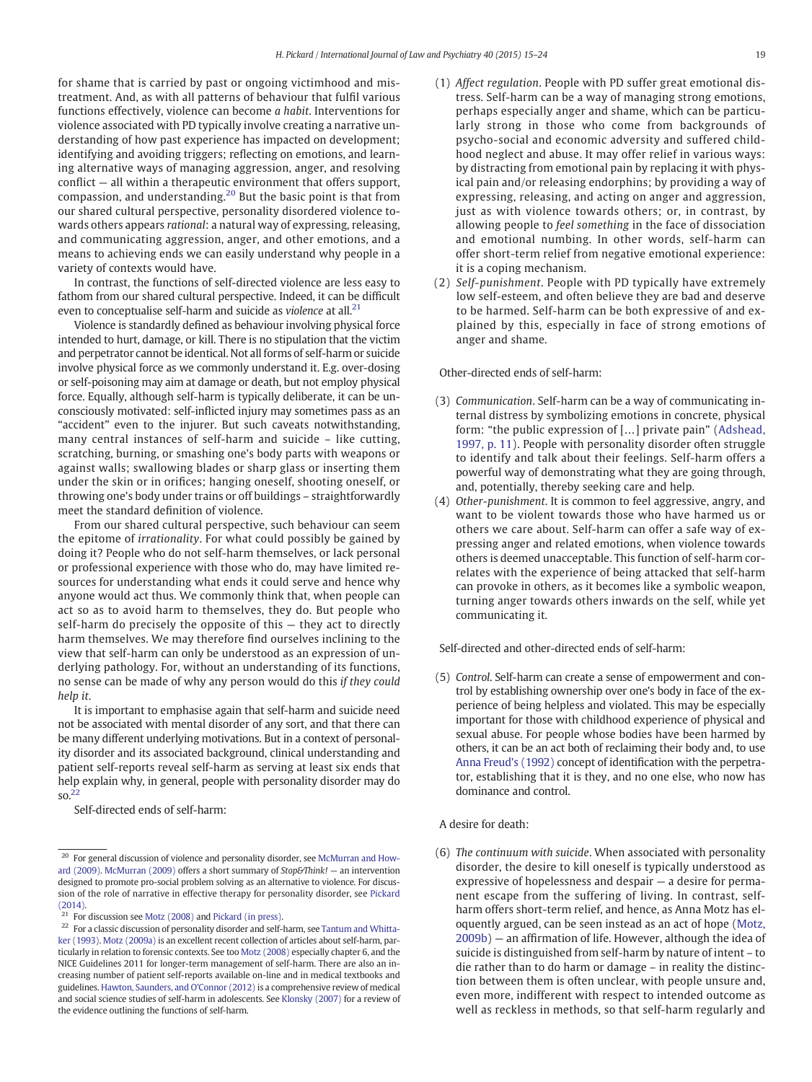for shame that is carried by past or ongoing victimhood and mistreatment. And, as with all patterns of behaviour that fulfil various functions effectively, violence can become a habit. Interventions for violence associated with PD typically involve creating a narrative understanding of how past experience has impacted on development; identifying and avoiding triggers; reflecting on emotions, and learning alternative ways of managing aggression, anger, and resolving conflict — all within a therapeutic environment that offers support, compassion, and understanding.<sup>20</sup> But the basic point is that from our shared cultural perspective, personality disordered violence towards others appears rational: a natural way of expressing, releasing, and communicating aggression, anger, and other emotions, and a means to achieving ends we can easily understand why people in a variety of contexts would have.

In contrast, the functions of self-directed violence are less easy to fathom from our shared cultural perspective. Indeed, it can be difficult even to conceptualise self-harm and suicide as *violence* at all.<sup>21</sup>

Violence is standardly defined as behaviour involving physical force intended to hurt, damage, or kill. There is no stipulation that the victim and perpetrator cannot be identical. Not all forms of self-harm or suicide involve physical force as we commonly understand it. E.g. over-dosing or self-poisoning may aim at damage or death, but not employ physical force. Equally, although self-harm is typically deliberate, it can be unconsciously motivated: self-inflicted injury may sometimes pass as an "accident" even to the injurer. But such caveats notwithstanding, many central instances of self-harm and suicide – like cutting, scratching, burning, or smashing one's body parts with weapons or against walls; swallowing blades or sharp glass or inserting them under the skin or in orifices; hanging oneself, shooting oneself, or throwing one's body under trains or off buildings – straightforwardly meet the standard definition of violence.

From our shared cultural perspective, such behaviour can seem the epitome of irrationality. For what could possibly be gained by doing it? People who do not self-harm themselves, or lack personal or professional experience with those who do, may have limited resources for understanding what ends it could serve and hence why anyone would act thus. We commonly think that, when people can act so as to avoid harm to themselves, they do. But people who self-harm do precisely the opposite of this — they act to directly harm themselves. We may therefore find ourselves inclining to the view that self-harm can only be understood as an expression of underlying pathology. For, without an understanding of its functions, no sense can be made of why any person would do this if they could help it.

It is important to emphasise again that self-harm and suicide need not be associated with mental disorder of any sort, and that there can be many different underlying motivations. But in a context of personality disorder and its associated background, clinical understanding and patient self-reports reveal self-harm as serving at least six ends that help explain why, in general, people with personality disorder may do  $SO<sup>2</sup>$ 

Self-directed ends of self-harm:

- (1) Affect regulation. People with PD suffer great emotional distress. Self-harm can be a way of managing strong emotions, perhaps especially anger and shame, which can be particularly strong in those who come from backgrounds of psycho-social and economic adversity and suffered childhood neglect and abuse. It may offer relief in various ways: by distracting from emotional pain by replacing it with physical pain and/or releasing endorphins; by providing a way of expressing, releasing, and acting on anger and aggression, just as with violence towards others; or, in contrast, by allowing people to feel something in the face of dissociation and emotional numbing. In other words, self-harm can offer short-term relief from negative emotional experience: it is a coping mechanism.
- (2) Self-punishment. People with PD typically have extremely low self-esteem, and often believe they are bad and deserve to be harmed. Self-harm can be both expressive of and explained by this, especially in face of strong emotions of anger and shame.

#### Other-directed ends of self-harm:

- (3) Communication. Self-harm can be a way of communicating internal distress by symbolizing emotions in concrete, physical form: "the public expression of […] private pain" [\(Adshead,](#page-9-0) [1997, p. 11\)](#page-9-0). People with personality disorder often struggle to identify and talk about their feelings. Self-harm offers a powerful way of demonstrating what they are going through, and, potentially, thereby seeking care and help.
- (4) Other-punishment. It is common to feel aggressive, angry, and want to be violent towards those who have harmed us or others we care about. Self-harm can offer a safe way of expressing anger and related emotions, when violence towards others is deemed unacceptable. This function of self-harm correlates with the experience of being attacked that self-harm can provoke in others, as it becomes like a symbolic weapon, turning anger towards others inwards on the self, while yet communicating it.

Self-directed and other-directed ends of self-harm:

(5) Control. Self-harm can create a sense of empowerment and control by establishing ownership over one's body in face of the experience of being helpless and violated. This may be especially important for those with childhood experience of physical and sexual abuse. For people whose bodies have been harmed by others, it can be an act both of reclaiming their body and, to use [Anna Freud's \(1992\)](#page-9-0) concept of identification with the perpetrator, establishing that it is they, and no one else, who now has dominance and control.

#### A desire for death:

(6) The continuum with suicide. When associated with personality disorder, the desire to kill oneself is typically understood as expressive of hopelessness and despair — a desire for permanent escape from the suffering of living. In contrast, selfharm offers short-term relief, and hence, as Anna Motz has eloquently argued, can be seen instead as an act of hope ([Motz,](#page-10-0) [2009b\)](#page-10-0) — an affirmation of life. However, although the idea of suicide is distinguished from self-harm by nature of intent – to die rather than to do harm or damage – in reality the distinction between them is often unclear, with people unsure and, even more, indifferent with respect to intended outcome as well as reckless in methods, so that self-harm regularly and

<sup>&</sup>lt;sup>20</sup> For general discussion of violence and personality disorder, see [McMurran and How](#page-10-0)[ard \(2009\).](#page-10-0) McMurran (2009) offers a short summary of Stop&Think! — an intervention designed to promote pro-social problem solving as an alternative to violence. For discussion of the role of narrative in effective therapy for personality disorder, see [Pickard](#page-10-0) [\(2014\)](#page-10-0).

 $21$  For discussion see [Motz \(2008\)](#page-10-0) and [Pickard \(in press\).](#page-10-0)

<sup>&</sup>lt;sup>22</sup> For a classic discussion of personality disorder and self-harm, see [Tantum and Whitta](#page-10-0)[ker \(1993\).](#page-10-0) [Motz \(2009a\)](#page-10-0) is an excellent recent collection of articles about self-harm, particularly in relation to forensic contexts. See too [Motz \(2008\)](#page-10-0) especially chapter 6, and the NICE Guidelines 2011 for longer-term management of self-harm. There are also an increasing number of patient self-reports available on-line and in medical textbooks and guidelines. [Hawton, Saunders, and O'Connor \(2012\)](#page-9-0) is a comprehensive review of medical and social science studies of self-harm in adolescents. See [Klonsky \(2007\)](#page-9-0) for a review of the evidence outlining the functions of self-harm.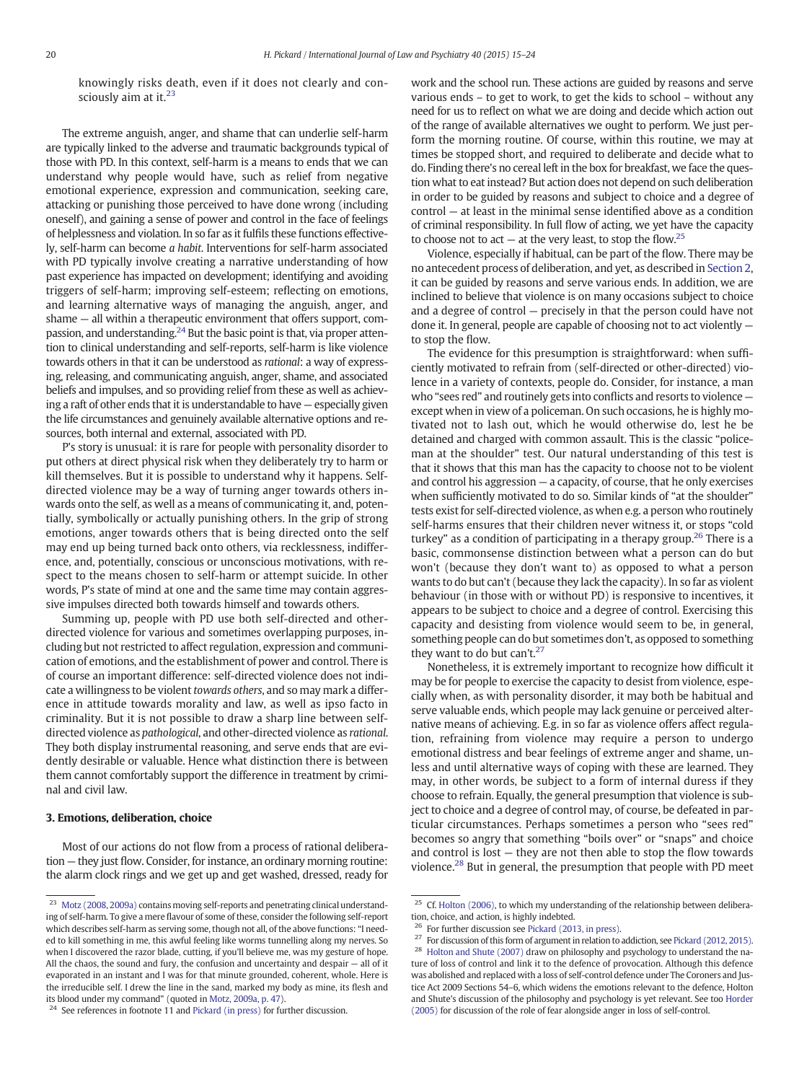<span id="page-6-0"></span>knowingly risks death, even if it does not clearly and consciously aim at it. $^{23}$ 

The extreme anguish, anger, and shame that can underlie self-harm are typically linked to the adverse and traumatic backgrounds typical of those with PD. In this context, self-harm is a means to ends that we can understand why people would have, such as relief from negative emotional experience, expression and communication, seeking care, attacking or punishing those perceived to have done wrong (including oneself), and gaining a sense of power and control in the face of feelings of helplessness and violation. In so far as it fulfils these functions effectively, self-harm can become a habit. Interventions for self-harm associated with PD typically involve creating a narrative understanding of how past experience has impacted on development; identifying and avoiding triggers of self-harm; improving self-esteem; reflecting on emotions, and learning alternative ways of managing the anguish, anger, and shame — all within a therapeutic environment that offers support, compassion, and understanding.<sup>24</sup> But the basic point is that, via proper attention to clinical understanding and self-reports, self-harm is like violence towards others in that it can be understood as rational: a way of expressing, releasing, and communicating anguish, anger, shame, and associated beliefs and impulses, and so providing relief from these as well as achieving a raft of other ends that it is understandable to have — especially given the life circumstances and genuinely available alternative options and resources, both internal and external, associated with PD.

P's story is unusual: it is rare for people with personality disorder to put others at direct physical risk when they deliberately try to harm or kill themselves. But it is possible to understand why it happens. Selfdirected violence may be a way of turning anger towards others inwards onto the self, as well as a means of communicating it, and, potentially, symbolically or actually punishing others. In the grip of strong emotions, anger towards others that is being directed onto the self may end up being turned back onto others, via recklessness, indifference, and, potentially, conscious or unconscious motivations, with respect to the means chosen to self-harm or attempt suicide. In other words, P's state of mind at one and the same time may contain aggressive impulses directed both towards himself and towards others.

Summing up, people with PD use both self-directed and otherdirected violence for various and sometimes overlapping purposes, including but not restricted to affect regulation, expression and communication of emotions, and the establishment of power and control. There is of course an important difference: self-directed violence does not indicate a willingness to be violent towards others, and so may mark a difference in attitude towards morality and law, as well as ipso facto in criminality. But it is not possible to draw a sharp line between selfdirected violence as pathological, and other-directed violence as rational. They both display instrumental reasoning, and serve ends that are evidently desirable or valuable. Hence what distinction there is between them cannot comfortably support the difference in treatment by criminal and civil law.

#### 3. Emotions, deliberation, choice

Most of our actions do not flow from a process of rational deliberation — they just flow. Consider, for instance, an ordinary morning routine: the alarm clock rings and we get up and get washed, dressed, ready for work and the school run. These actions are guided by reasons and serve various ends – to get to work, to get the kids to school – without any need for us to reflect on what we are doing and decide which action out of the range of available alternatives we ought to perform. We just perform the morning routine. Of course, within this routine, we may at times be stopped short, and required to deliberate and decide what to do. Finding there's no cereal left in the box for breakfast, we face the question what to eat instead? But action does not depend on such deliberation in order to be guided by reasons and subject to choice and a degree of control — at least in the minimal sense identified above as a condition of criminal responsibility. In full flow of acting, we yet have the capacity to choose not to act  $-$  at the very least, to stop the flow.<sup>25</sup>

Violence, especially if habitual, can be part of the flow. There may be no antecedent process of deliberation, and yet, as described in [Section 2,](#page-3-0) it can be guided by reasons and serve various ends. In addition, we are inclined to believe that violence is on many occasions subject to choice and a degree of control — precisely in that the person could have not done it. In general, people are capable of choosing not to act violently to stop the flow.

The evidence for this presumption is straightforward: when sufficiently motivated to refrain from (self-directed or other-directed) violence in a variety of contexts, people do. Consider, for instance, a man who "sees red" and routinely gets into conflicts and resorts to violence except when in view of a policeman. On such occasions, he is highly motivated not to lash out, which he would otherwise do, lest he be detained and charged with common assault. This is the classic "policeman at the shoulder" test. Our natural understanding of this test is that it shows that this man has the capacity to choose not to be violent and control his aggression — a capacity, of course, that he only exercises when sufficiently motivated to do so. Similar kinds of "at the shoulder" tests exist for self-directed violence, as when e.g. a person who routinely self-harms ensures that their children never witness it, or stops "cold turkey" as a condition of participating in a therapy group.<sup>26</sup> There is a basic, commonsense distinction between what a person can do but won't (because they don't want to) as opposed to what a person wants to do but can't (because they lack the capacity). In so far as violent behaviour (in those with or without PD) is responsive to incentives, it appears to be subject to choice and a degree of control. Exercising this capacity and desisting from violence would seem to be, in general, something people can do but sometimes don't, as opposed to something they want to do but can't. $27$ 

Nonetheless, it is extremely important to recognize how difficult it may be for people to exercise the capacity to desist from violence, especially when, as with personality disorder, it may both be habitual and serve valuable ends, which people may lack genuine or perceived alternative means of achieving. E.g. in so far as violence offers affect regulation, refraining from violence may require a person to undergo emotional distress and bear feelings of extreme anger and shame, unless and until alternative ways of coping with these are learned. They may, in other words, be subject to a form of internal duress if they choose to refrain. Equally, the general presumption that violence is subject to choice and a degree of control may, of course, be defeated in particular circumstances. Perhaps sometimes a person who "sees red" becomes so angry that something "boils over" or "snaps" and choice and control is lost — they are not then able to stop the flow towards violence.<sup>28</sup> But in general, the presumption that people with PD meet

[\(2005\)](#page-9-0) for discussion of the role of fear alongside anger in loss of self-control.

<sup>23</sup> [Motz \(2008, 2009a\)](#page-10-0) contains moving self-reports and penetrating clinical understanding of self-harm. To give a mere flavour of some of these, consider the following self-report which describes self-harm as serving some, though not all, of the above functions: "I needed to kill something in me, this awful feeling like worms tunnelling along my nerves. So when I discovered the razor blade, cutting, if you'll believe me, was my gesture of hope. All the chaos, the sound and fury, the confusion and uncertainty and despair — all of it evaporated in an instant and I was for that minute grounded, coherent, whole. Here is the irreducible self. I drew the line in the sand, marked my body as mine, its flesh and its blood under my command" (quoted in [Motz, 2009a, p. 47\)](#page-10-0).

See references in footnote 11 and [Pickard \(in press\)](#page-10-0) for further discussion.

 $25$  Cf. [Holton \(2006\),](#page-9-0) to which my understanding of the relationship between deliberation, choice, and action, is highly indebted.

For further discussion see [Pickard \(2013, in press\).](#page-10-0)

 $27$  For discussion of this form of argument in relation to addiction, see [Pickard \(2012, 2015\)](#page-10-0). <sup>28</sup> [Holton and Shute \(2007\)](#page-9-0) draw on philosophy and psychology to understand the nature of loss of control and link it to the defence of provocation. Although this defence was abolished and replaced with a loss of self-control defence under The Coroners and Justice Act 2009 Sections 54–6, which widens the emotions relevant to the defence, Holton and Shute's discussion of the philosophy and psychology is yet relevant. See too [Horder](#page-9-0)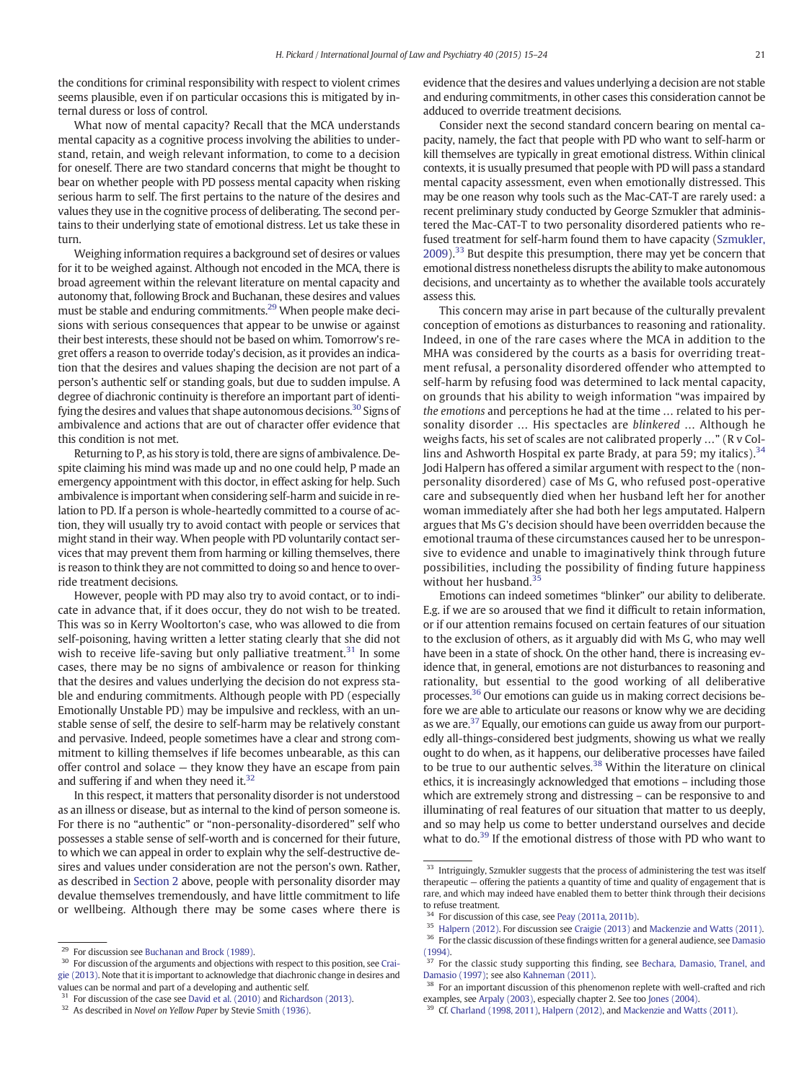the conditions for criminal responsibility with respect to violent crimes seems plausible, even if on particular occasions this is mitigated by internal duress or loss of control.

What now of mental capacity? Recall that the MCA understands mental capacity as a cognitive process involving the abilities to understand, retain, and weigh relevant information, to come to a decision for oneself. There are two standard concerns that might be thought to bear on whether people with PD possess mental capacity when risking serious harm to self. The first pertains to the nature of the desires and values they use in the cognitive process of deliberating. The second pertains to their underlying state of emotional distress. Let us take these in turn.

Weighing information requires a background set of desires or values for it to be weighed against. Although not encoded in the MCA, there is broad agreement within the relevant literature on mental capacity and autonomy that, following Brock and Buchanan, these desires and values must be stable and enduring commitments.<sup>29</sup> When people make decisions with serious consequences that appear to be unwise or against their best interests, these should not be based on whim. Tomorrow's regret offers a reason to override today's decision, as it provides an indication that the desires and values shaping the decision are not part of a person's authentic self or standing goals, but due to sudden impulse. A degree of diachronic continuity is therefore an important part of identifying the desires and values that shape autonomous decisions.<sup>30</sup> Signs of ambivalence and actions that are out of character offer evidence that this condition is not met.

Returning to P, as his story is told, there are signs of ambivalence. Despite claiming his mind was made up and no one could help, P made an emergency appointment with this doctor, in effect asking for help. Such ambivalence is important when considering self-harm and suicide in relation to PD. If a person is whole-heartedly committed to a course of action, they will usually try to avoid contact with people or services that might stand in their way. When people with PD voluntarily contact services that may prevent them from harming or killing themselves, there is reason to think they are not committed to doing so and hence to override treatment decisions.

However, people with PD may also try to avoid contact, or to indicate in advance that, if it does occur, they do not wish to be treated. This was so in Kerry Wooltorton's case, who was allowed to die from self-poisoning, having written a letter stating clearly that she did not wish to receive life-saving but only palliative treatment.<sup>31</sup> In some cases, there may be no signs of ambivalence or reason for thinking that the desires and values underlying the decision do not express stable and enduring commitments. Although people with PD (especially Emotionally Unstable PD) may be impulsive and reckless, with an unstable sense of self, the desire to self-harm may be relatively constant and pervasive. Indeed, people sometimes have a clear and strong commitment to killing themselves if life becomes unbearable, as this can offer control and solace — they know they have an escape from pain and suffering if and when they need it. $32$ 

In this respect, it matters that personality disorder is not understood as an illness or disease, but as internal to the kind of person someone is. For there is no "authentic" or "non-personality-disordered" self who possesses a stable sense of self-worth and is concerned for their future, to which we can appeal in order to explain why the self-destructive desires and values under consideration are not the person's own. Rather, as described in [Section 2](#page-3-0) above, people with personality disorder may devalue themselves tremendously, and have little commitment to life or wellbeing. Although there may be some cases where there is evidence that the desires and values underlying a decision are not stable and enduring commitments, in other cases this consideration cannot be adduced to override treatment decisions.

Consider next the second standard concern bearing on mental capacity, namely, the fact that people with PD who want to self-harm or kill themselves are typically in great emotional distress. Within clinical contexts, it is usually presumed that people with PD will pass a standard mental capacity assessment, even when emotionally distressed. This may be one reason why tools such as the Mac-CAT-T are rarely used: a recent preliminary study conducted by George Szmukler that administered the Mac-CAT-T to two personality disordered patients who refused treatment for self-harm found them to have capacity [\(Szmukler,](#page-10-0)  $2009$ ).<sup>33</sup> But despite this presumption, there may yet be concern that emotional distress nonetheless disrupts the ability to make autonomous decisions, and uncertainty as to whether the available tools accurately assess this.

This concern may arise in part because of the culturally prevalent conception of emotions as disturbances to reasoning and rationality. Indeed, in one of the rare cases where the MCA in addition to the MHA was considered by the courts as a basis for overriding treatment refusal, a personality disordered offender who attempted to self-harm by refusing food was determined to lack mental capacity, on grounds that his ability to weigh information "was impaired by the emotions and perceptions he had at the time … related to his personality disorder … His spectacles are blinkered … Although he weighs facts, his set of scales are not calibrated properly …" (R v Collins and Ashworth Hospital ex parte Brady, at para 59; my italics). $34$ Jodi Halpern has offered a similar argument with respect to the (nonpersonality disordered) case of Ms G, who refused post-operative care and subsequently died when her husband left her for another woman immediately after she had both her legs amputated. Halpern argues that Ms G's decision should have been overridden because the emotional trauma of these circumstances caused her to be unresponsive to evidence and unable to imaginatively think through future possibilities, including the possibility of finding future happiness without her husband.<sup>35</sup>

Emotions can indeed sometimes "blinker" our ability to deliberate. E.g. if we are so aroused that we find it difficult to retain information, or if our attention remains focused on certain features of our situation to the exclusion of others, as it arguably did with Ms G, who may well have been in a state of shock. On the other hand, there is increasing evidence that, in general, emotions are not disturbances to reasoning and rationality, but essential to the good working of all deliberative processes.36 Our emotions can guide us in making correct decisions before we are able to articulate our reasons or know why we are deciding as we are. $37$  Equally, our emotions can guide us away from our purportedly all-things-considered best judgments, showing us what we really ought to do when, as it happens, our deliberative processes have failed to be true to our authentic selves.<sup>38</sup> Within the literature on clinical ethics, it is increasingly acknowledged that emotions – including those which are extremely strong and distressing – can be responsive to and illuminating of real features of our situation that matter to us deeply, and so may help us come to better understand ourselves and decide what to do.<sup>39</sup> If the emotional distress of those with PD who want to

<sup>&</sup>lt;sup>29</sup> For discussion see [Buchanan and Brock \(1989\).](#page-9-0)

<sup>&</sup>lt;sup>30</sup> For discussion of the arguments and objections with respect to this position, see [Crai](#page-9-0)[gie \(2013\).](#page-9-0) Note that it is important to acknowledge that diachronic change in desires and values can be normal and part of a developing and authentic self.

 $31$  For discussion of the case see [David et al. \(2010\)](#page-9-0) and [Richardson \(2013\)](#page-10-0).

<sup>&</sup>lt;sup>32</sup> As described in Novel on Yellow Paper by Stevie [Smith \(1936\).](#page-10-0)

<sup>&</sup>lt;sup>33</sup> Intriguingly, Szmukler suggests that the process of administering the test was itself therapeutic — offering the patients a quantity of time and quality of engagement that is rare, and which may indeed have enabled them to better think through their decisions to refuse treatment.

For discussion of this case, see [Peay \(2011a, 2011b\)](#page-10-0).

<sup>35</sup> [Halpern \(2012\)](#page-9-0). For discussion see [Craigie \(2013\)](#page-9-0) and [Mackenzie and Watts \(2011\)](#page-10-0). <sup>36</sup> For the classic discussion of these findings written for a general audience, see [Damasio](#page-9-0)

[<sup>\(1994\)</sup>](#page-9-0). <sup>37</sup> For the classic study supporting this finding, see [Bechara, Damasio, Tranel, and](#page-9-0) [Damasio \(1997\)](#page-9-0); see also [Kahneman \(2011\).](#page-9-0)

<sup>&</sup>lt;sup>38</sup> For an important discussion of this phenomenon replete with well-crafted and rich examples, see [Arpaly \(2003\)](#page-9-0), especially chapter 2. See too [Jones \(2004\)](#page-9-0).

<sup>39</sup> Cf. [Charland \(1998, 2011\),](#page-9-0) [Halpern \(2012\)](#page-9-0), and [Mackenzie and Watts \(2011\).](#page-10-0)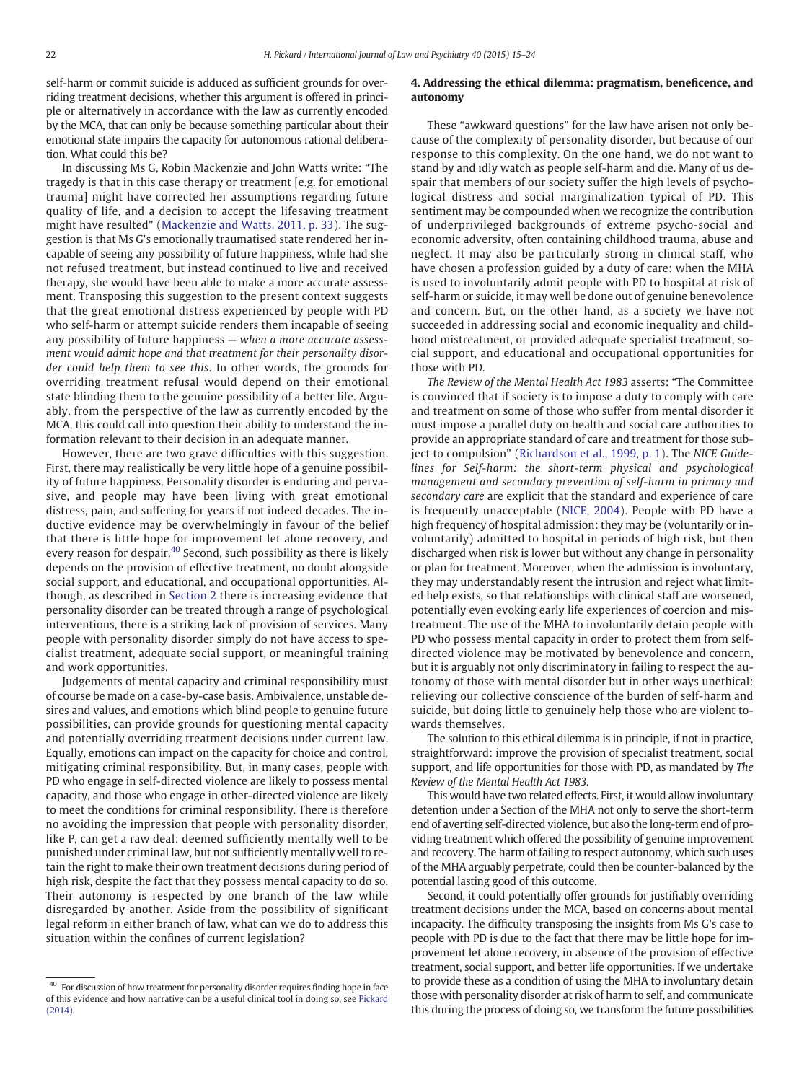<span id="page-8-0"></span>self-harm or commit suicide is adduced as sufficient grounds for overriding treatment decisions, whether this argument is offered in principle or alternatively in accordance with the law as currently encoded by the MCA, that can only be because something particular about their emotional state impairs the capacity for autonomous rational deliberation. What could this be?

In discussing Ms G, Robin Mackenzie and John Watts write: "The tragedy is that in this case therapy or treatment [e.g. for emotional trauma] might have corrected her assumptions regarding future quality of life, and a decision to accept the lifesaving treatment might have resulted" ([Mackenzie and Watts, 2011, p. 33\)](#page-10-0). The suggestion is that Ms G's emotionally traumatised state rendered her incapable of seeing any possibility of future happiness, while had she not refused treatment, but instead continued to live and received therapy, she would have been able to make a more accurate assessment. Transposing this suggestion to the present context suggests that the great emotional distress experienced by people with PD who self-harm or attempt suicide renders them incapable of seeing any possibility of future happiness — when a more accurate assessment would admit hope and that treatment for their personality disorder could help them to see this. In other words, the grounds for overriding treatment refusal would depend on their emotional state blinding them to the genuine possibility of a better life. Arguably, from the perspective of the law as currently encoded by the MCA, this could call into question their ability to understand the information relevant to their decision in an adequate manner.

However, there are two grave difficulties with this suggestion. First, there may realistically be very little hope of a genuine possibility of future happiness. Personality disorder is enduring and pervasive, and people may have been living with great emotional distress, pain, and suffering for years if not indeed decades. The inductive evidence may be overwhelmingly in favour of the belief that there is little hope for improvement let alone recovery, and every reason for despair.<sup>40</sup> Second, such possibility as there is likely depends on the provision of effective treatment, no doubt alongside social support, and educational, and occupational opportunities. Although, as described in [Section 2](#page-3-0) there is increasing evidence that personality disorder can be treated through a range of psychological interventions, there is a striking lack of provision of services. Many people with personality disorder simply do not have access to specialist treatment, adequate social support, or meaningful training and work opportunities.

Judgements of mental capacity and criminal responsibility must of course be made on a case-by-case basis. Ambivalence, unstable desires and values, and emotions which blind people to genuine future possibilities, can provide grounds for questioning mental capacity and potentially overriding treatment decisions under current law. Equally, emotions can impact on the capacity for choice and control, mitigating criminal responsibility. But, in many cases, people with PD who engage in self-directed violence are likely to possess mental capacity, and those who engage in other-directed violence are likely to meet the conditions for criminal responsibility. There is therefore no avoiding the impression that people with personality disorder, like P, can get a raw deal: deemed sufficiently mentally well to be punished under criminal law, but not sufficiently mentally well to retain the right to make their own treatment decisions during period of high risk, despite the fact that they possess mental capacity to do so. Their autonomy is respected by one branch of the law while disregarded by another. Aside from the possibility of significant legal reform in either branch of law, what can we do to address this situation within the confines of current legislation?

#### 4. Addressing the ethical dilemma: pragmatism, beneficence, and autonomy

These "awkward questions" for the law have arisen not only because of the complexity of personality disorder, but because of our response to this complexity. On the one hand, we do not want to stand by and idly watch as people self-harm and die. Many of us despair that members of our society suffer the high levels of psychological distress and social marginalization typical of PD. This sentiment may be compounded when we recognize the contribution of underprivileged backgrounds of extreme psycho-social and economic adversity, often containing childhood trauma, abuse and neglect. It may also be particularly strong in clinical staff, who have chosen a profession guided by a duty of care: when the MHA is used to involuntarily admit people with PD to hospital at risk of self-harm or suicide, it may well be done out of genuine benevolence and concern. But, on the other hand, as a society we have not succeeded in addressing social and economic inequality and childhood mistreatment, or provided adequate specialist treatment, social support, and educational and occupational opportunities for those with PD.

The Review of the Mental Health Act 1983 asserts: "The Committee is convinced that if society is to impose a duty to comply with care and treatment on some of those who suffer from mental disorder it must impose a parallel duty on health and social care authorities to provide an appropriate standard of care and treatment for those sub-ject to compulsion" [\(Richardson et al., 1999, p. 1](#page-10-0)). The NICE Guidelines for Self-harm: the short-term physical and psychological management and secondary prevention of self-harm in primary and secondary care are explicit that the standard and experience of care is frequently unacceptable ([NICE, 2004\)](#page-10-0). People with PD have a high frequency of hospital admission: they may be (voluntarily or involuntarily) admitted to hospital in periods of high risk, but then discharged when risk is lower but without any change in personality or plan for treatment. Moreover, when the admission is involuntary, they may understandably resent the intrusion and reject what limited help exists, so that relationships with clinical staff are worsened, potentially even evoking early life experiences of coercion and mistreatment. The use of the MHA to involuntarily detain people with PD who possess mental capacity in order to protect them from selfdirected violence may be motivated by benevolence and concern, but it is arguably not only discriminatory in failing to respect the autonomy of those with mental disorder but in other ways unethical: relieving our collective conscience of the burden of self-harm and suicide, but doing little to genuinely help those who are violent towards themselves.

The solution to this ethical dilemma is in principle, if not in practice, straightforward: improve the provision of specialist treatment, social support, and life opportunities for those with PD, as mandated by The Review of the Mental Health Act 1983.

This would have two related effects. First, it would allow involuntary detention under a Section of the MHA not only to serve the short-term end of averting self-directed violence, but also the long-term end of providing treatment which offered the possibility of genuine improvement and recovery. The harm of failing to respect autonomy, which such uses of the MHA arguably perpetrate, could then be counter-balanced by the potential lasting good of this outcome.

Second, it could potentially offer grounds for justifiably overriding treatment decisions under the MCA, based on concerns about mental incapacity. The difficulty transposing the insights from Ms G's case to people with PD is due to the fact that there may be little hope for improvement let alone recovery, in absence of the provision of effective treatment, social support, and better life opportunities. If we undertake to provide these as a condition of using the MHA to involuntary detain those with personality disorder at risk of harm to self, and communicate this during the process of doing so, we transform the future possibilities

<sup>&</sup>lt;sup>40</sup> For discussion of how treatment for personality disorder requires finding hope in face of this evidence and how narrative can be a useful clinical tool in doing so, see [Pickard](#page-10-0) [\(2014\)](#page-10-0).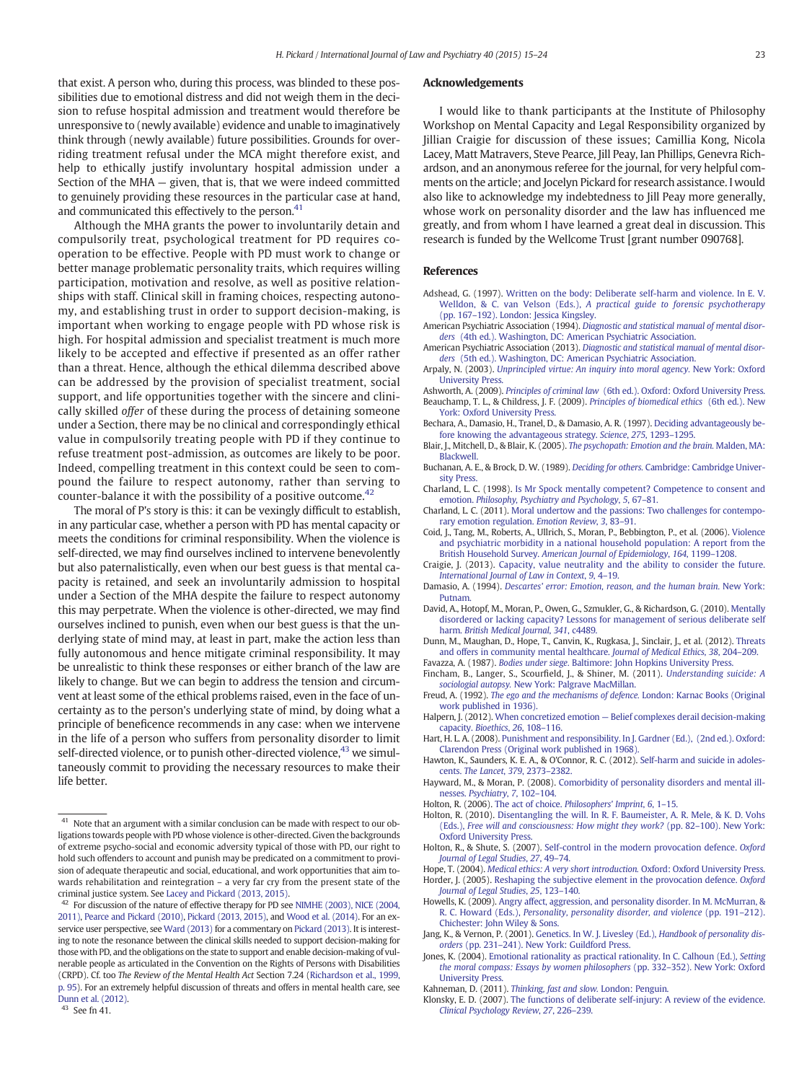<span id="page-9-0"></span>that exist. A person who, during this process, was blinded to these possibilities due to emotional distress and did not weigh them in the decision to refuse hospital admission and treatment would therefore be unresponsive to (newly available) evidence and unable to imaginatively think through (newly available) future possibilities. Grounds for overriding treatment refusal under the MCA might therefore exist, and help to ethically justify involuntary hospital admission under a Section of the MHA — given, that is, that we were indeed committed to genuinely providing these resources in the particular case at hand, and communicated this effectively to the person.<sup>41</sup>

Although the MHA grants the power to involuntarily detain and compulsorily treat, psychological treatment for PD requires cooperation to be effective. People with PD must work to change or better manage problematic personality traits, which requires willing participation, motivation and resolve, as well as positive relationships with staff. Clinical skill in framing choices, respecting autonomy, and establishing trust in order to support decision-making, is important when working to engage people with PD whose risk is high. For hospital admission and specialist treatment is much more likely to be accepted and effective if presented as an offer rather than a threat. Hence, although the ethical dilemma described above can be addressed by the provision of specialist treatment, social support, and life opportunities together with the sincere and clinically skilled offer of these during the process of detaining someone under a Section, there may be no clinical and correspondingly ethical value in compulsorily treating people with PD if they continue to refuse treatment post-admission, as outcomes are likely to be poor. Indeed, compelling treatment in this context could be seen to compound the failure to respect autonomy, rather than serving to counter-balance it with the possibility of a positive outcome.<sup>42</sup>

The moral of P's story is this: it can be vexingly difficult to establish, in any particular case, whether a person with PD has mental capacity or meets the conditions for criminal responsibility. When the violence is self-directed, we may find ourselves inclined to intervene benevolently but also paternalistically, even when our best guess is that mental capacity is retained, and seek an involuntarily admission to hospital under a Section of the MHA despite the failure to respect autonomy this may perpetrate. When the violence is other-directed, we may find ourselves inclined to punish, even when our best guess is that the underlying state of mind may, at least in part, make the action less than fully autonomous and hence mitigate criminal responsibility. It may be unrealistic to think these responses or either branch of the law are likely to change. But we can begin to address the tension and circumvent at least some of the ethical problems raised, even in the face of uncertainty as to the person's underlying state of mind, by doing what a principle of beneficence recommends in any case: when we intervene in the life of a person who suffers from personality disorder to limit self-directed violence, or to punish other-directed violence,<sup>43</sup> we simultaneously commit to providing the necessary resources to make their life better.

#### Acknowledgements

I would like to thank participants at the Institute of Philosophy Workshop on Mental Capacity and Legal Responsibility organized by Jillian Craigie for discussion of these issues; Camillia Kong, Nicola Lacey, Matt Matravers, Steve Pearce, Jill Peay, Ian Phillips, Genevra Richardson, and an anonymous referee for the journal, for very helpful comments on the article; and Jocelyn Pickard for research assistance. I would also like to acknowledge my indebtedness to Jill Peay more generally, whose work on personality disorder and the law has influenced me greatly, and from whom I have learned a great deal in discussion. This research is funded by the Wellcome Trust [grant number 090768].

#### References

- Adshead, G. (1997). [Written on the body: Deliberate self-harm and violence. In E. V.](http://refhub.elsevier.com/S0160-2527(15)00072-2/rf0005) Welldon, & C. van Velson (Eds.), [A practical guide to forensic psychotherapy](http://refhub.elsevier.com/S0160-2527(15)00072-2/rf0005) (pp. 167–[192\). London: Jessica Kingsley.](http://refhub.elsevier.com/S0160-2527(15)00072-2/rf0005)
- American Psychiatric Association (1994). [Diagnostic and statistical manual of mental disor](http://refhub.elsevier.com/S0160-2527(15)00072-2/rf0010)ders [\(4th ed.\). Washington, DC: American Psychiatric Association.](http://refhub.elsevier.com/S0160-2527(15)00072-2/rf0010)
- American Psychiatric Association (2013). [Diagnostic and statistical manual of mental disor](http://refhub.elsevier.com/S0160-2527(15)00072-2/rf0015)ders [\(5th ed.\). Washington, DC: American Psychiatric Association.](http://refhub.elsevier.com/S0160-2527(15)00072-2/rf0015)
- Arpaly, N. (2003). [Unprincipled virtue: An inquiry into moral agency.](http://refhub.elsevier.com/S0160-2527(15)00072-2/rf0020) New York: Oxford [University Press.](http://refhub.elsevier.com/S0160-2527(15)00072-2/rf0020)
- Ashworth, A. (2009). Principles of criminal law [\(6th ed.\). Oxford: Oxford University Press.](http://refhub.elsevier.com/S0160-2527(15)00072-2/rf0025) Beauchamp, T. L., & Childress, J. F. (2009). [Principles of biomedical ethics](http://refhub.elsevier.com/S0160-2527(15)00072-2/rf0030) (6th ed.). New [York: Oxford University Press.](http://refhub.elsevier.com/S0160-2527(15)00072-2/rf0030)
- Bechara, A., Damasio, H., Tranel, D., & Damasio, A. R. (1997). [Deciding advantageously be](http://refhub.elsevier.com/S0160-2527(15)00072-2/rf0035)[fore knowing the advantageous strategy.](http://refhub.elsevier.com/S0160-2527(15)00072-2/rf0035) Science, 275, 1293–1295.
- Blair, J., Mitchell, D., & Blair, K. (2005). [The psychopath: Emotion and the brain.](http://refhub.elsevier.com/S0160-2527(15)00072-2/rf0040) Malden, MA: [Blackwell.](http://refhub.elsevier.com/S0160-2527(15)00072-2/rf0040)
- Buchanan, A. E., & Brock, D. W. (1989). Deciding for others. [Cambridge: Cambridge Univer](http://refhub.elsevier.com/S0160-2527(15)00072-2/rf0045)[sity Press.](http://refhub.elsevier.com/S0160-2527(15)00072-2/rf0045)
- Charland, L. C. (1998). [Is Mr Spock mentally competent? Competence to consent and](http://refhub.elsevier.com/S0160-2527(15)00072-2/rf0050) emotion. [Philosophy, Psychiatry and Psychology](http://refhub.elsevier.com/S0160-2527(15)00072-2/rf0050), 5, 67–81.
- Charland, L. C. (2011). [Moral undertow and the passions: Two challenges for contempo](http://refhub.elsevier.com/S0160-2527(15)00072-2/rf0055)[rary emotion regulation.](http://refhub.elsevier.com/S0160-2527(15)00072-2/rf0055) Emotion Review, 3, 83–91.
- Coid, J., Tang, M., Roberts, A., Ullrich, S., Moran, P., Bebbington, P., et al. (2006). [Violence](http://refhub.elsevier.com/S0160-2527(15)00072-2/rf0060) [and psychiatric morbidity in a national household population: A report from the](http://refhub.elsevier.com/S0160-2527(15)00072-2/rf0060) British Household Survey. [American Journal of Epidemiology](http://refhub.elsevier.com/S0160-2527(15)00072-2/rf0060), 164, 1199–1208.
- Craigie, J. (2013). [Capacity, value neutrality and the ability to consider the future.](http://refhub.elsevier.com/S0160-2527(15)00072-2/rf0070) [International Journal of Law in Context](http://refhub.elsevier.com/S0160-2527(15)00072-2/rf0070), 9, 4–19.
- Damasio, A. (1994). [Descartes' error: Emotion, reason, and the human brain.](http://refhub.elsevier.com/S0160-2527(15)00072-2/rf0080) New York: [Putnam.](http://refhub.elsevier.com/S0160-2527(15)00072-2/rf0080)
- David, A., Hotopf, M., Moran, P., Owen, G., Szmukler, G., & Richardson, G. (2010). [Mentally](http://refhub.elsevier.com/S0160-2527(15)00072-2/rf0075) [disordered or lacking capacity? Lessons for management of serious deliberate self](http://refhub.elsevier.com/S0160-2527(15)00072-2/rf0075) harm. [British Medical Journal](http://refhub.elsevier.com/S0160-2527(15)00072-2/rf0075), 341, c4489.
- Dunn, M., Maughan, D., Hope, T., Canvin, K., Rugkasa, J., Sinclair, J., et al. (2012). [Threats](http://refhub.elsevier.com/S0160-2527(15)00072-2/rf0085) [and offers in community mental healthcare.](http://refhub.elsevier.com/S0160-2527(15)00072-2/rf0085) Journal of Medical Ethics, 38, 204–209.
- Favazza, A. (1987). Bodies under siege. [Baltimore: John Hopkins University Press.](http://refhub.elsevier.com/S0160-2527(15)00072-2/rf0090) Fincham, B., Langer, S., Scourfield, J., & Shiner, M. (2011). [Understanding suicide: A](http://refhub.elsevier.com/S0160-2527(15)00072-2/rf0095)
- sociologial autopsy. [New York: Palgrave MacMillan.](http://refhub.elsevier.com/S0160-2527(15)00072-2/rf0095)
- Freud, A. (1992). [The ego and the mechanisms of defence.](http://refhub.elsevier.com/S0160-2527(15)00072-2/rf0390) London: Karnac Books (Original [work published in 1936\).](http://refhub.elsevier.com/S0160-2527(15)00072-2/rf0390)
- Halpern, J. (2012). When concretized emotion [Belief complexes derail decision-making](http://refhub.elsevier.com/S0160-2527(15)00072-2/rf0395) [capacity.](http://refhub.elsevier.com/S0160-2527(15)00072-2/rf0395) Bioethics, 26, 108–116.
- Hart, H. L. A. (2008). [Punishment and responsibility. In J. Gardner \(Ed.\), \(2nd ed.\). Oxford:](http://refhub.elsevier.com/S0160-2527(15)00072-2/rf0400) [Clarendon Press \(Original work published in 1968\).](http://refhub.elsevier.com/S0160-2527(15)00072-2/rf0400)
- Hawton, K., Saunders, K. E. A., & O'Connor, R. C. (2012). [Self-harm and suicide in adoles](http://refhub.elsevier.com/S0160-2527(15)00072-2/rf0105)cents. [The Lancet](http://refhub.elsevier.com/S0160-2527(15)00072-2/rf0105), 379, 2373–2382.
- Hayward, M., & Moran, P. (2008). [Comorbidity of personality disorders and mental ill](http://refhub.elsevier.com/S0160-2527(15)00072-2/rf0110)nesses. [Psychiatry](http://refhub.elsevier.com/S0160-2527(15)00072-2/rf0110), 7, 102–104.
- Holton, R. (2006). The act of choice. [Philosophers' Imprint](http://refhub.elsevier.com/S0160-2527(15)00072-2/rf0115), 6, 1–15.
- Holton, R. (2010). [Disentangling the will. In R. F. Baumeister, A. R. Mele, & K. D. Vohs](http://refhub.elsevier.com/S0160-2527(15)00072-2/rf0120) (Eds.), [Free will and consciousness: How might they work?](http://refhub.elsevier.com/S0160-2527(15)00072-2/rf0120) (pp. 82–100). New York: [Oxford University Press.](http://refhub.elsevier.com/S0160-2527(15)00072-2/rf0120)
- Holton, R., & Shute, S. (2007). [Self-control in the modern provocation defence.](http://refhub.elsevier.com/S0160-2527(15)00072-2/rf0125) Oxford [Journal of Legal Studies](http://refhub.elsevier.com/S0160-2527(15)00072-2/rf0125), 27, 49–74.
- Hope, T. (2004). [Medical ethics: A very short introduction.](http://refhub.elsevier.com/S0160-2527(15)00072-2/rf0130) Oxford: Oxford University Press. Horder, J. (2005). [Reshaping the subjective element in the provocation defence.](http://refhub.elsevier.com/S0160-2527(15)00072-2/rf0135) Oxford [Journal of Legal Studies](http://refhub.elsevier.com/S0160-2527(15)00072-2/rf0135), 25, 123–140.
- Howells, K. (2009). [Angry affect, aggression, and personality disorder. In M. McMurran, &](http://refhub.elsevier.com/S0160-2527(15)00072-2/rf0140) R. C. Howard (Eds.), [Personality, personality disorder, and violence](http://refhub.elsevier.com/S0160-2527(15)00072-2/rf0140) (pp. 191–212). [Chichester: John Wiley & Sons.](http://refhub.elsevier.com/S0160-2527(15)00072-2/rf0140)
- Jang, K., & Vernon, P. (2001). [Genetics. In W. J. Livesley \(Ed.\),](http://refhub.elsevier.com/S0160-2527(15)00072-2/rf0145) Handbook of personality disorders (pp. 231–[241\). New York: Guildford Press.](http://refhub.elsevier.com/S0160-2527(15)00072-2/rf0145)
- Jones, K. (2004). [Emotional rationality as practical rationality. In C. Calhoun \(Ed.\),](http://refhub.elsevier.com/S0160-2527(15)00072-2/rf0150) Setting [the moral compass: Essays by women philosophers](http://refhub.elsevier.com/S0160-2527(15)00072-2/rf0150) (pp. 332–352). New York: Oxford [University Press.](http://refhub.elsevier.com/S0160-2527(15)00072-2/rf0150)
- Kahneman, D. (2011). [Thinking, fast and slow.](http://refhub.elsevier.com/S0160-2527(15)00072-2/rf0155) London: Penguin.
- Klonsky, E. D. (2007). [The functions of deliberate self-injury: A review of the evidence.](http://refhub.elsevier.com/S0160-2527(15)00072-2/rf0160) [Clinical Psychology Review](http://refhub.elsevier.com/S0160-2527(15)00072-2/rf0160), 27, 226–239.

<sup>&</sup>lt;sup>41</sup> Note that an argument with a similar conclusion can be made with respect to our obligations towards people with PD whose violence is other-directed. Given the backgrounds of extreme psycho-social and economic adversity typical of those with PD, our right to hold such offenders to account and punish may be predicated on a commitment to provision of adequate therapeutic and social, educational, and work opportunities that aim towards rehabilitation and reintegration – a very far cry from the present state of the criminal justice system. See [Lacey and Pickard \(2013, 2015\)](#page-10-0).

<sup>&</sup>lt;sup>42</sup> For discussion of the nature of effective therapy for PD see [NIMHE \(2003\), NICE \(2004,](#page-10-0) [2011\),](#page-10-0) [Pearce and Pickard \(2010\),](#page-10-0) [Pickard \(2013, 2015\)](#page-10-0), and [Wood et al. \(2014\).](#page-10-0) For an exservice user perspective, see [Ward \(2013\)](#page-10-0) for a commentary on [Pickard \(2013\).](#page-10-0) It is interesting to note the resonance between the clinical skills needed to support decision-making for those with PD, and the obligations on the state to support and enable decision-making of vulnerable people as articulated in the Convention on the Rights of Persons with Disabilities (CRPD). Cf. too The Review of the Mental Health Act Section 7.24 [\(Richardson et al., 1999,](#page-10-0) [p. 95](#page-10-0)). For an extremely helpful discussion of threats and offers in mental health care, see Dunn et al. (2012).

<sup>43</sup> See fn 41.